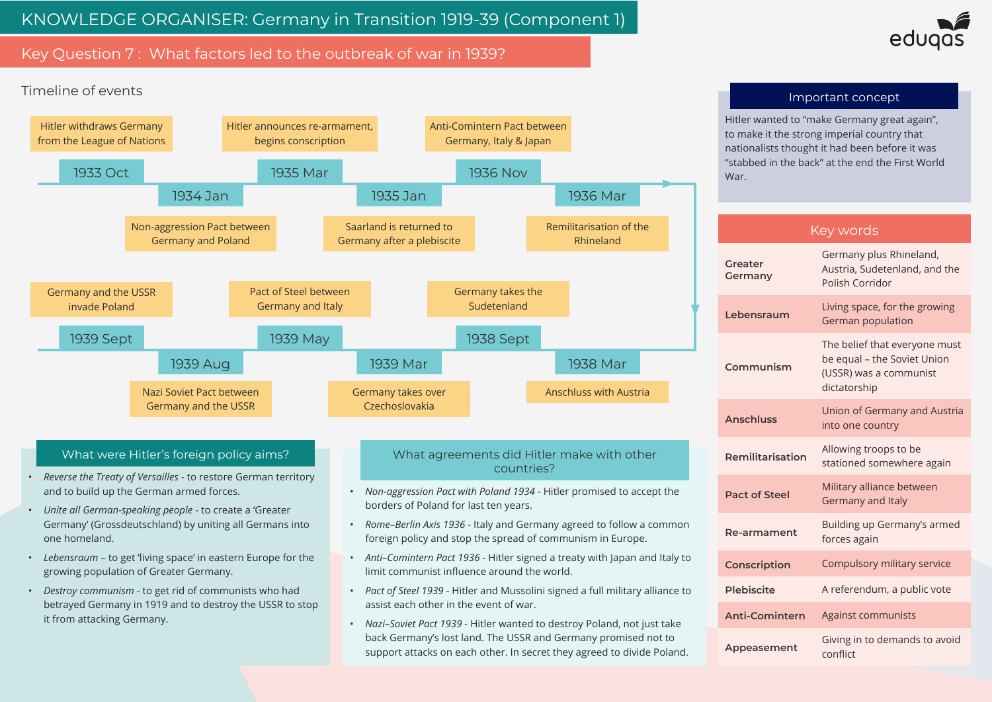# Key Question 7 : What factors led to the outbreak of war in 1939?

Hitler wanted to "make Germany great again", to make it the strong imperial country that nationalists thought it had been before it was "stabbed in the back" at the end the First World

#### Important concept

### Key words

| <b>Greater</b><br><b>Germany</b> | Germany plus Rhineland,<br>Austria, Sudetenland, and the<br>Polish Corridor                            |
|----------------------------------|--------------------------------------------------------------------------------------------------------|
| Lebensraum                       | Living space, for the growing<br><b>German population</b>                                              |
| Communism                        | The belief that everyone must<br>be equal - the Soviet Union<br>(USSR) was a communist<br>dictatorship |
| <b>Anschluss</b>                 | <b>Union of Germany and Austria</b><br>into one country                                                |
| Remilitarisation                 | Allowing troops to be<br>stationed somewhere again                                                     |
| <b>Pact of Steel</b>             | Military alliance between<br>Germany and Italy                                                         |
| <b>Re-armament</b>               | Building up Germany's armed<br>forces again                                                            |
| <b>Conscription</b>              | Compulsory military service                                                                            |
| <b>Plebiscite</b>                | A referendum, a public vote                                                                            |
| <b>Anti-Comintern</b>            | <b>Against communists</b>                                                                              |
| Appeasement                      | Giving in to demands to avoid<br>conflict                                                              |